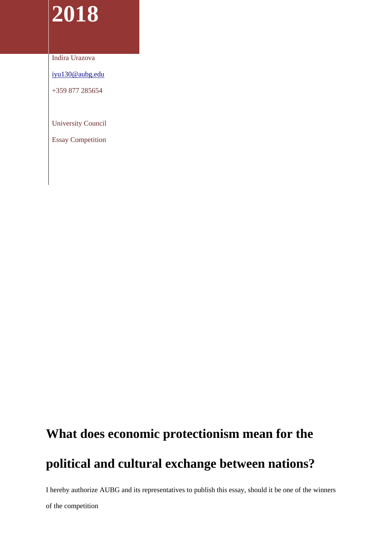## **2018**

Indira Urazova

[iyu130@aubg.edu](mailto:iyu130@aubg.edu)

+359 877 285654

University Council

Essay Competition

## **What does economic protectionism mean for the**

## **political and cultural exchange between nations?**

I hereby authorize AUBG and its representatives to publish this essay, should it be one of the winners

of the competition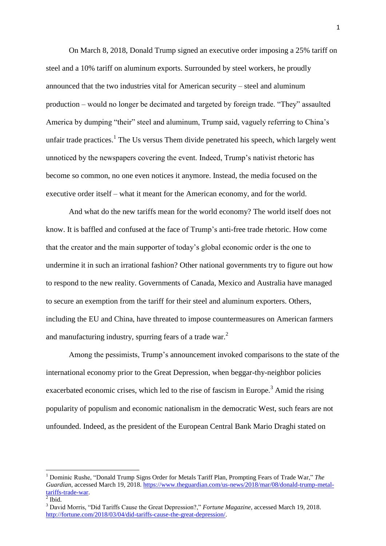On March 8, 2018, Donald Trump signed an executive order imposing a 25% tariff on steel and a 10% tariff on aluminum exports. Surrounded by steel workers, he proudly announced that the two industries vital for American security – steel and aluminum production – would no longer be decimated and targeted by foreign trade. "They" assaulted America by dumping "their" steel and aluminum, Trump said, vaguely referring to China's unfair trade practices.<sup>1</sup> The Us versus Them divide penetrated his speech, which largely went unnoticed by the newspapers covering the event. Indeed, Trump's nativist rhetoric has become so common, no one even notices it anymore. Instead, the media focused on the executive order itself – what it meant for the American economy, and for the world.

And what do the new tariffs mean for the world economy? The world itself does not know. It is baffled and confused at the face of Trump's anti-free trade rhetoric. How come that the creator and the main supporter of today's global economic order is the one to undermine it in such an irrational fashion? Other national governments try to figure out how to respond to the new reality. Governments of Canada, Mexico and Australia have managed to secure an exemption from the tariff for their steel and aluminum exporters. Others, including the EU and China, have threated to impose countermeasures on American farmers and manufacturing industry, spurring fears of a trade war.<sup>2</sup>

Among the pessimists, Trump's announcement invoked comparisons to the state of the international economy prior to the Great Depression, when beggar-thy-neighbor policies exacerbated economic crises, which led to the rise of fascism in Europe.<sup>3</sup> Amid the rising popularity of populism and economic nationalism in the democratic West, such fears are not unfounded. Indeed, as the president of the European Central Bank Mario Draghi stated on

 $\overline{\phantom{a}}$ 

<sup>1</sup> Dominic Rushe, "Donald Trump Signs Order for Metals Tariff Plan, Prompting Fears of Trade War," *The Guardian*, accessed March 19, 2018. [https://www.theguardian.com/us-news/2018/mar/08/donald-trump-metal](https://www.theguardian.com/us-news/2018/mar/08/donald-trump-metal-tariffs-trade-war)[tariffs-trade-war.](https://www.theguardian.com/us-news/2018/mar/08/donald-trump-metal-tariffs-trade-war)<br><sup>2</sup> Ibid.

<sup>3</sup> David Morris, "Did Tariffs Cause the Great Depression?," *Fortune Magazine*, accessed March 19, 2018. [http://fortune.com/2018/03/04/did-tariffs-cause-the-great-depression/.](http://fortune.com/2018/03/04/did-tariffs-cause-the-great-depression/)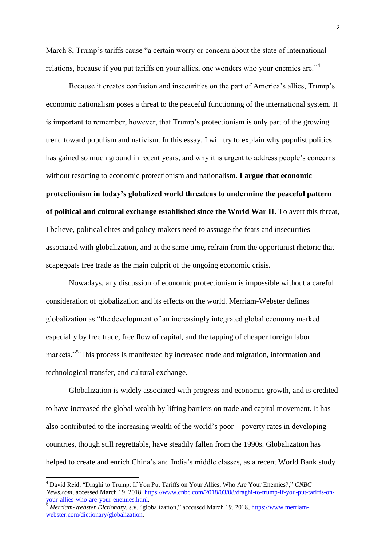March 8, Trump's tariffs cause "a certain worry or concern about the state of international relations, because if you put tariffs on your allies, one wonders who your enemies are."<sup>4</sup>

Because it creates confusion and insecurities on the part of America's allies, Trump's economic nationalism poses a threat to the peaceful functioning of the international system. It is important to remember, however, that Trump's protectionism is only part of the growing trend toward populism and nativism. In this essay, I will try to explain why populist politics has gained so much ground in recent years, and why it is urgent to address people's concerns without resorting to economic protectionism and nationalism. **I argue that economic protectionism in today's globalized world threatens to undermine the peaceful pattern of political and cultural exchange established since the World War II.** To avert this threat, I believe, political elites and policy-makers need to assuage the fears and insecurities associated with globalization, and at the same time, refrain from the opportunist rhetoric that scapegoats free trade as the main culprit of the ongoing economic crisis.

Nowadays, any discussion of economic protectionism is impossible without a careful consideration of globalization and its effects on the world. Merriam-Webster defines globalization as "the development of an increasingly integrated global economy marked especially by free trade, free flow of capital, and the tapping of cheaper foreign labor markets."<sup>5</sup> This process is manifested by increased trade and migration, information and technological transfer, and cultural exchange.

Globalization is widely associated with progress and economic growth, and is credited to have increased the global wealth by lifting barriers on trade and capital movement. It has also contributed to the increasing wealth of the world's poor – poverty rates in developing countries, though still regrettable, have steadily fallen from the 1990s. Globalization has helped to create and enrich China's and India's middle classes, as a recent World Bank study

l

<sup>4</sup> David Reid, "Draghi to Trump: If You Put Tariffs on Your Allies, Who Are Your Enemies?," *CNBC News.com,* accessed March 19, 2018. [https://www.cnbc.com/2018/03/08/draghi-to-trump-if-you-put-tariffs-on](https://www.cnbc.com/2018/03/08/draghi-to-trump-if-you-put-tariffs-on-your-allies-who-are-your-enemies.html)[your-allies-who-are-your-enemies.html.](https://www.cnbc.com/2018/03/08/draghi-to-trump-if-you-put-tariffs-on-your-allies-who-are-your-enemies.html) 

<sup>&</sup>lt;sup>5</sup> *Merriam-Webster Dictionary*, s.v. "globalization," accessed March 19, 2018[, https://www.merriam](https://www.merriam-webster.com/dictionary/globalization)[webster.com/dictionary/globalization.](https://www.merriam-webster.com/dictionary/globalization)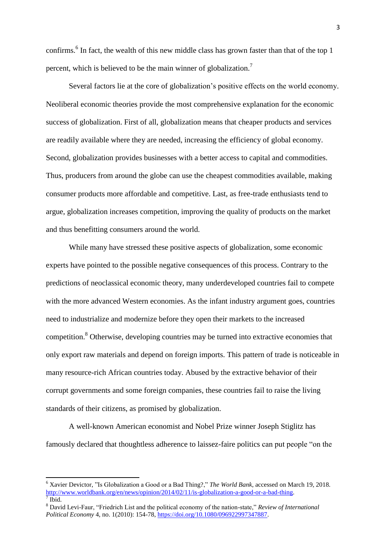confirms.<sup>6</sup> In fact, the wealth of this new middle class has grown faster than that of the top 1 percent, which is believed to be the main winner of globalization.<sup>7</sup>

Several factors lie at the core of globalization's positive effects on the world economy. Neoliberal economic theories provide the most comprehensive explanation for the economic success of globalization. First of all, globalization means that cheaper products and services are readily available where they are needed, increasing the efficiency of global economy. Second, globalization provides businesses with a better access to capital and commodities. Thus, producers from around the globe can use the cheapest commodities available, making consumer products more affordable and competitive. Last, as free-trade enthusiasts tend to argue, globalization increases competition, improving the quality of products on the market and thus benefitting consumers around the world.

While many have stressed these positive aspects of globalization, some economic experts have pointed to the possible negative consequences of this process. Contrary to the predictions of neoclassical economic theory, many underdeveloped countries fail to compete with the more advanced Western economies. As the infant industry argument goes, countries need to industrialize and modernize before they open their markets to the increased competition.<sup>8</sup> Otherwise, developing countries may be turned into extractive economies that only export raw materials and depend on foreign imports. This pattern of trade is noticeable in many resource-rich African countries today. Abused by the extractive behavior of their corrupt governments and some foreign companies, these countries fail to raise the living standards of their citizens, as promised by globalization.

A well-known American economist and Nobel Prize winner Joseph Stiglitz has famously declared that thoughtless adherence to laissez-faire politics can put people "on the

l

<sup>6</sup> Xavier Devictor, "Is Globalization a Good or a Bad Thing?," *The World Bank*, accessed on March 19, 2018. [http://www.worldbank.org/en/news/opinion/2014/02/11/is-globalization-a-good-or-a-bad-thing.](http://www.worldbank.org/en/news/opinion/2014/02/11/is-globalization-a-good-or-a-bad-thing) 7 Ibid.

<sup>8</sup> David Levi-Faur, "Friedrich List and the political economy of the nation-state," *Review of International Political Economy* 4, no. 1(2010): 154-78, [https://doi.org/10.1080/096922997347887.](https://doi.org/10.1080/096922997347887)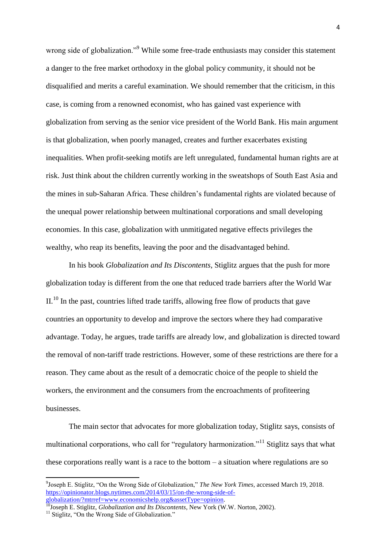wrong side of globalization."<sup>9</sup> While some free-trade enthusiasts may consider this statement a danger to the free market orthodoxy in the global policy community, it should not be disqualified and merits a careful examination. We should remember that the criticism, in this case, is coming from a renowned economist, who has gained vast experience with globalization from serving as the senior vice president of the World Bank. His main argument is that globalization, when poorly managed, creates and further exacerbates existing inequalities. When profit-seeking motifs are left unregulated, fundamental human rights are at risk. Just think about the children currently working in the sweatshops of South East Asia and the mines in sub-Saharan Africa. These children's fundamental rights are violated because of the unequal power relationship between multinational corporations and small developing economies. In this case, globalization with unmitigated negative effects privileges the wealthy, who reap its benefits, leaving the poor and the disadvantaged behind.

In his book *Globalization and Its Discontents*, Stiglitz argues that the push for more globalization today is different from the one that reduced trade barriers after the World War  $II<sup>10</sup>$  In the past, countries lifted trade tariffs, allowing free flow of products that gave countries an opportunity to develop and improve the sectors where they had comparative advantage. Today, he argues, trade tariffs are already low, and globalization is directed toward the removal of non-tariff trade restrictions. However, some of these restrictions are there for a reason. They came about as the result of a democratic choice of the people to shield the workers, the environment and the consumers from the encroachments of profiteering businesses.

The main sector that advocates for more globalization today, Stiglitz says, consists of multinational corporations, who call for "regulatory harmonization."<sup>11</sup> Stiglitz says that what these corporations really want is a race to the bottom – a situation where regulations are so

l

<sup>9</sup> Joseph E. Stiglitz, "On the Wrong Side of Globalization," *The New York Times,* accessed March 19, 2018. [https://opinionator.blogs.nytimes.com/2014/03/15/on-the-wrong-side-of](https://opinionator.blogs.nytimes.com/2014/03/15/on-the-wrong-side-of-globalization/?mtrref=www.economicshelp.org&assetType=opinion)[globalization/?mtrref=www.economicshelp.org&assetType=opinion.](https://opinionator.blogs.nytimes.com/2014/03/15/on-the-wrong-side-of-globalization/?mtrref=www.economicshelp.org&assetType=opinion)

<sup>&</sup>lt;sup>10</sup>Joseph E. Stiglitz, *Globalization and Its Discontents*, New York (W.W. Norton, 2002).

<sup>&</sup>lt;sup>11</sup> Stiglitz, "On the Wrong Side of Globalization."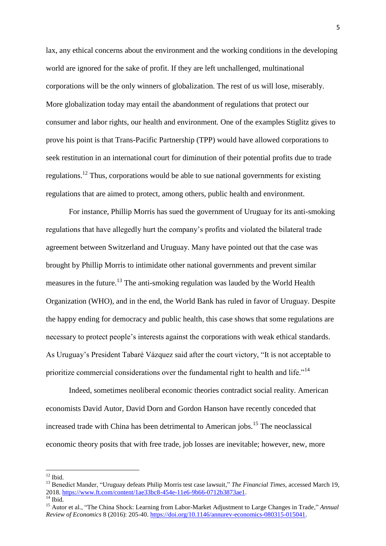lax, any ethical concerns about the environment and the working conditions in the developing world are ignored for the sake of profit. If they are left unchallenged, multinational corporations will be the only winners of globalization. The rest of us will lose, miserably. More globalization today may entail the abandonment of regulations that protect our consumer and labor rights, our health and environment. One of the examples Stiglitz gives to prove his point is that Trans-Pacific Partnership (TPP) would have allowed corporations to seek restitution in an international court for diminution of their potential profits due to trade regulations.<sup>12</sup> Thus, corporations would be able to sue national governments for existing regulations that are aimed to protect, among others, public health and environment.

For instance, Phillip Morris has sued the government of Uruguay for its anti-smoking regulations that have allegedly hurt the company's profits and violated the bilateral trade agreement between Switzerland and Uruguay. Many have pointed out that the case was brought by Phillip Morris to intimidate other national governments and prevent similar measures in the future.<sup>13</sup> The anti-smoking regulation was lauded by the World Health Organization (WHO), and in the end, the World Bank has ruled in favor of Uruguay. Despite the happy ending for democracy and public health, this case shows that some regulations are necessary to protect people's interests against the corporations with weak ethical standards. As Uruguay's President Tabaré Vázquez said after the court victory, "It is not acceptable to prioritize commercial considerations over the fundamental right to health and life."<sup>14</sup>

Indeed, sometimes neoliberal economic theories contradict social reality. American economists David Autor, David Dorn and Gordon Hanson have recently conceded that increased trade with China has been detrimental to American jobs.<sup>15</sup> The neoclassical economic theory posits that with free trade, job losses are inevitable; however, new, more

 $\overline{\phantom{a}}$  $12$  Ibid.

<sup>13</sup> Benedict Mander, "Uruguay defeats Philip Morris test case lawsuit," *The Financial Times,* accessed March 19, 2018. [https://www.ft.com/content/1ae33bc8-454e-11e6-9b66-0712b3873ae1.](https://www.ft.com/content/1ae33bc8-454e-11e6-9b66-0712b3873ae1)  $14$  Ibid.

<sup>15</sup> Autor et al., "The China Shock: Learning from Labor-Market Adjustment to Large Changes in Trade," *Annual Review of Economics* 8 (2016): 205-40[. https://doi.org/10.1146/annurev-economics-080315-015041.](https://doi.org/10.1146/annurev-economics-080315-015041)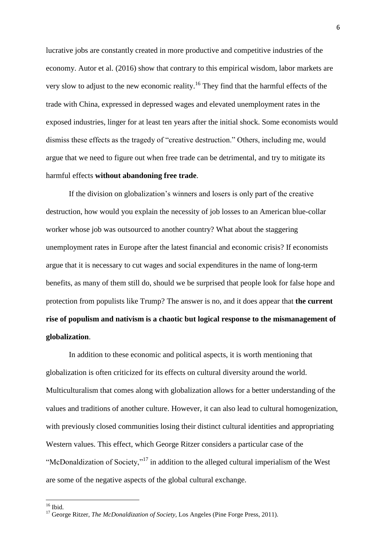lucrative jobs are constantly created in more productive and competitive industries of the economy. Autor et al. (2016) show that contrary to this empirical wisdom, labor markets are very slow to adjust to the new economic reality.<sup>16</sup> They find that the harmful effects of the trade with China, expressed in depressed wages and elevated unemployment rates in the exposed industries, linger for at least ten years after the initial shock. Some economists would dismiss these effects as the tragedy of "creative destruction." Others, including me, would argue that we need to figure out when free trade can be detrimental, and try to mitigate its harmful effects **without abandoning free trade**.

If the division on globalization's winners and losers is only part of the creative destruction, how would you explain the necessity of job losses to an American blue-collar worker whose job was outsourced to another country? What about the staggering unemployment rates in Europe after the latest financial and economic crisis? If economists argue that it is necessary to cut wages and social expenditures in the name of long-term benefits, as many of them still do, should we be surprised that people look for false hope and protection from populists like Trump? The answer is no, and it does appear that **the current rise of populism and nativism is a chaotic but logical response to the mismanagement of globalization**.

In addition to these economic and political aspects, it is worth mentioning that globalization is often criticized for its effects on cultural diversity around the world. Multiculturalism that comes along with globalization allows for a better understanding of the values and traditions of another culture. However, it can also lead to cultural homogenization, with previously closed communities losing their distinct cultural identities and appropriating Western values. This effect, which George Ritzer considers a particular case of the "McDonaldization of Society,"<sup>17</sup> in addition to the alleged cultural imperialism of the West are some of the negative aspects of the global cultural exchange.

 $\overline{\phantom{a}}$ 

 $16$  Ibid.

<sup>17</sup> George Ritzer, *The McDonaldization of Society*, Los Angeles (Pine Forge Press, 2011).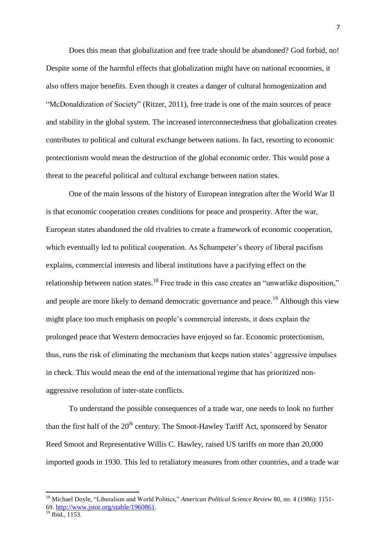Does this mean that globalization and free trade should be abandoned? God forbid, no! Despite some of the harmful effects that globalization might have on national economies, it also offers major benefits. Even though it creates a danger of cultural homogenization and "McDonaldization of Society" (Ritzer, 2011), free trade is one of the main sources of peace and stability in the global system. The increased interconnectedness that globalization creates contributes to political and cultural exchange between nations. In fact, resorting to economic protectionism would mean the destruction of the global economic order. This would pose a threat to the peaceful political and cultural exchange between nation states.

One of the main lessons of the history of European integration after the World War II is that economic cooperation creates conditions for peace and prosperity. After the war, European states abandoned the old rivalries to create a framework of economic cooperation, which eventually led to political cooperation. As Schumpeter's theory of liberal pacifism explains, commercial interests and liberal institutions have a pacifying effect on the relationship between nation states.<sup>18</sup> Free trade in this case creates an "unwarlike disposition," and people are more likely to demand democratic governance and peace.<sup>19</sup> Although this view might place too much emphasis on people's commercial interests, it does explain the prolonged peace that Western democracies have enjoyed so far. Economic protectionism, thus, runs the risk of eliminating the mechanism that keeps nation states' aggressive impulses in check. This would mean the end of the international regime that has prioritized nonaggressive resolution of inter-state conflicts.

To understand the possible consequences of a trade war, one needs to look no further than the first half of the 20<sup>th</sup> century. The Smoot-Hawley Tariff Act, sponsored by Senator Reed Smoot and Representative Willis C. Hawley, raised US tariffs on more than 20,000 imported goods in 1930. This led to retaliatory measures from other countries, and a trade war

 $\overline{a}$ 

<sup>18</sup> Michael Doyle, "Liberalism and World Politics," *American Political Science Review* 80, no. 4 (1986): 1151 69. [http://www.jstor.org/stable/1960861.](http://www.jstor.org/stable/1960861)

<sup>19</sup> Ibid., 1153.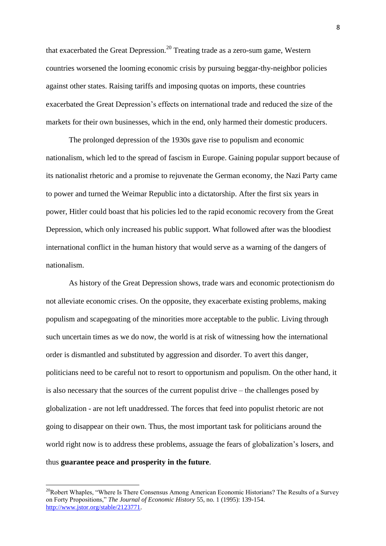that exacerbated the Great Depression.<sup>20</sup> Treating trade as a zero-sum game, Western countries worsened the looming economic crisis by pursuing beggar-thy-neighbor policies against other states. Raising tariffs and imposing quotas on imports, these countries exacerbated the Great Depression's effects on international trade and reduced the size of the markets for their own businesses, which in the end, only harmed their domestic producers.

The prolonged depression of the 1930s gave rise to populism and economic nationalism, which led to the spread of fascism in Europe. Gaining popular support because of its nationalist rhetoric and a promise to rejuvenate the German economy, the Nazi Party came to power and turned the Weimar Republic into a dictatorship. After the first six years in power, Hitler could boast that his policies led to the rapid economic recovery from the Great Depression, which only increased his public support. What followed after was the bloodiest international conflict in the human history that would serve as a warning of the dangers of nationalism.

As history of the Great Depression shows, trade wars and economic protectionism do not alleviate economic crises. On the opposite, they exacerbate existing problems, making populism and scapegoating of the minorities more acceptable to the public. Living through such uncertain times as we do now, the world is at risk of witnessing how the international order is dismantled and substituted by aggression and disorder. To avert this danger, politicians need to be careful not to resort to opportunism and populism. On the other hand, it is also necessary that the sources of the current populist drive – the challenges posed by globalization - are not left unaddressed. The forces that feed into populist rhetoric are not going to disappear on their own. Thus, the most important task for politicians around the world right now is to address these problems, assuage the fears of globalization's losers, and thus **guarantee peace and prosperity in the future**.

 $\overline{a}$ 

<sup>&</sup>lt;sup>20</sup>Robert Whaples, "Where Is There Consensus Among American Economic Historians? The Results of a Survey on Forty Propositions," *The Journal of Economic History* 55, no. 1 (1995): 139-154. [http://www.jstor.org/stable/2123771.](http://www.jstor.org/stable/2123771)